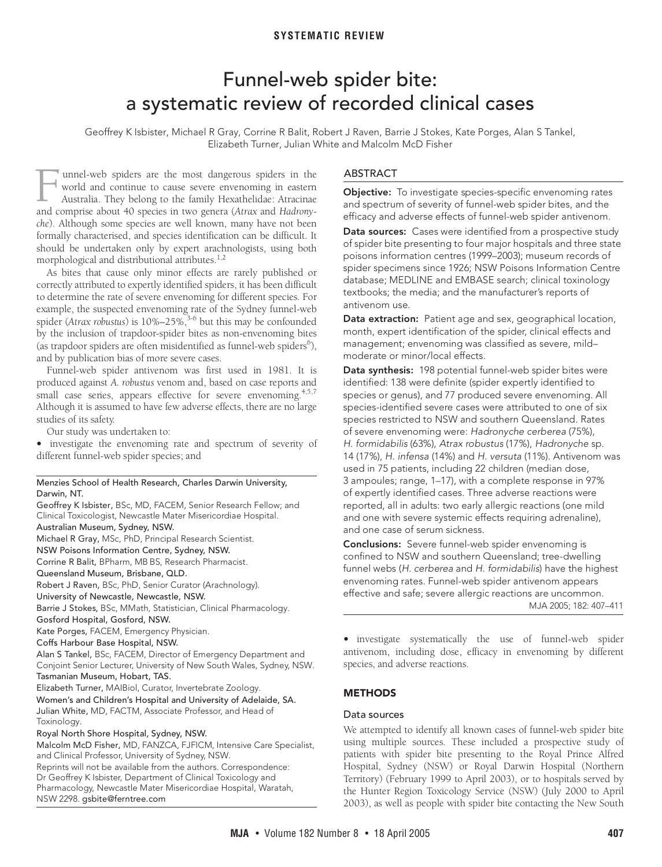# **SYSTEMATIC REVIEW**

# Funnel-web spider bite: a systematic review of recorded clinical cases

<span id="page-0-0"></span>Geoffrey K Isbister, Michael R Gray, Corrine R Balit, Robert J Raven, Barrie J Stokes, Kate Porges, Alan S Tankel, Elizabeth Turner, Julian White and Malcolm McD Fisher

a de undertaken omy by expert arachnolog morphological and distribution[al att](#page-0-0)[ribu](#page-4-7)tes.<sup>[1](#page-4-0),[2](#page-4-1)</sup> unnel-web spiders are the most dangerous spiders in the world and continue to cause severe envenoming in eastern Australia. They belong to the family Hexathelidae: Atracinae annel-web spiders are the most dangerous spiders in the world and continue to cause severe envenoming in eastern<br>Australia. They belong to the family Hexathelidae: Atracinae<br>and comprise about 40 species in two genera (*At che*). Although some species are well known, many have not been formally characterised, and species identification can be difficult. It should be undertaken only by expert arachnologists, using both

As bites that cause only minor effects are rarely published or correctly attributed to expertly identified spiders, it has been difficult to determine the rate of severe envenoming for different species. For example, the suspected envenoming rate of the Sydney funnel-web spider (*Atrax robustus*) is 10%–25%,<sup>3-[6](#page-4-3)</sup> but this may be confounded by the inclusion of trapdoor-spider bites as non-envenoming bites (as trapdoor spiders are often misidentified as funnel-web spiders $6$ ), and by publication bias of more severe cases.

Funnel-web spider antivenom was first used in 1981. It is produced against *A. robustus* venom and, based on case reports and small case series, appears effective for severe envenoming.<sup>4,[5,](#page-4-5)[7](#page-4-6)</sup> Although it is assumed to have few adverse effects, there are no large studies of its safety.

Our study was undertaken to:

**•** investigate the envenoming rate and spectrum of severity of different funnel-web spider species; and

#### Menzies School of Health Research, Charles Darwin University, Darwin, NT.

Geoffrey K Isbister, BSc, MD, FACEM, Senior Research Fellow; and Clinical Toxicologist, Newcastle Mater Misericordiae Hospital. Australian Museum, Sydney, NSW. Michael R Gray, MSc, PhD, Principal Research Scientist. NSW Poisons Information Centre, Sydney, NSW. Corrine R Balit, BPharm, MB BS, Research Pharmacist. Queensland Museum, Brisbane, QLD. Robert J Raven, BSc, PhD, Senior Curator (Arachnology). University of Newcastle, Newcastle, NSW. Barrie J Stokes, BSc, MMath, Statistician, Clinical Pharmacology. Gosford Hospital, Gosford, NSW. Kate Porges, FACEM, Emergency Physician. Coffs Harbour Base Hospital, NSW. Alan S Tankel, BSc, FACEM, Director of Emergency Department and Conjoint Senior Lecturer, University of New South Wales, Sydney, NSW. Tasmanian Museum, Hobart, TAS. Elizabeth Turner, MAIBiol, Curator, Invertebrate Zoology. Women's and Children's Hospital and University of Adelaide, SA. Julian White, MD, FACTM, Associate Professor, and Head of Toxinology.

#### Royal North Shore Hospital, Sydney, NSW.

Malcolm McD Fisher, MD, FANZCA, FJFICM, Intensive Care Specialist, and Clinical Professor, University of Sydney, NSW.

Reprints will not be available from the authors. Correspondence: Dr Geoffrey K Isbister, Department of Clinical Toxicology and Pharmacology, Newcastle Mater Misericordiae Hospital, Waratah, NSW 2298. gsbite@ferntree.com

#### ABSTRACT

**Objective:** To investigate species-specific envenoming rates and spectrum of severity of funnel-web spider bites, and the efficacy and adverse effects of funnel-web spider antivenom.

**Data sources:** Cases were identified from a prospective study of spider bite presenting to four major hospitals and three state poisons information centres (1999–2003); museum records of spider specimens since 1926; NSW Poisons Information Centre database; MEDLINE and EMBASE search; clinical toxinology textbooks; the media; and the manufacturer's reports of antivenom use.

**Data extraction:** Patient age and sex, geographical location, month, expert identification of the spider, clinical effects and management; envenoming was classified as severe, mild– moderate or minor/local effects.

**Data synthesis:** 198 potential funnel-web spider bites were identified: 138 were definite (spider expertly identified to species or genus), and 77 produced severe envenoming. All species-identified severe cases were attributed to one of six species restricted to NSW and southern Queensland. Rates of severe envenoming were: Hadronyche cerberea (75%), H. formidabilis (63%), Atrax robustus (17%), Hadronyche sp. 14 (17%), H. infensa (14%) and H. versuta (11%). Antivenom was used in 75 patients, including 22 children (median dose, 3 ampoules; range, 1–17), with a complete response in 97% of expertly identified cases. Three adverse reactions were reported, all in adults: two early allergic reactions (one mild and one with severe systemic effects requiring adrenaline), and one case of serum sickness.

**Conclusions:** Severe funnel-web spider envenoming is confined to NSW and southern Queensland; tree-dwelling funnel webs (H. cerberea and H. formidabilis) have the highest envenoming rates. Funnel-web spider antivenom appears MJA 2005; 182: 407–411 effective and safe; severe allergic reactions are uncommon.

**•** investigate systematically the use of funnel-web spider antivenom, including dose, efficacy in envenoming by different species, and adverse reactions.

# **METHODS**

# Data sources

We attempted to identify all known cases of funnel-web spider bite using multiple sources. These included a prospective study of patients with spider bite presenting to the Royal Prince Alfred Hospital, Sydney (NSW) or Royal Darwin Hospital (Northern Territory) (February 1999 to April 2003), or to hospitals served by the Hunter Region Toxicology Service (NSW) (July 2000 to April 2003), as well as people with spider bite contacting the New South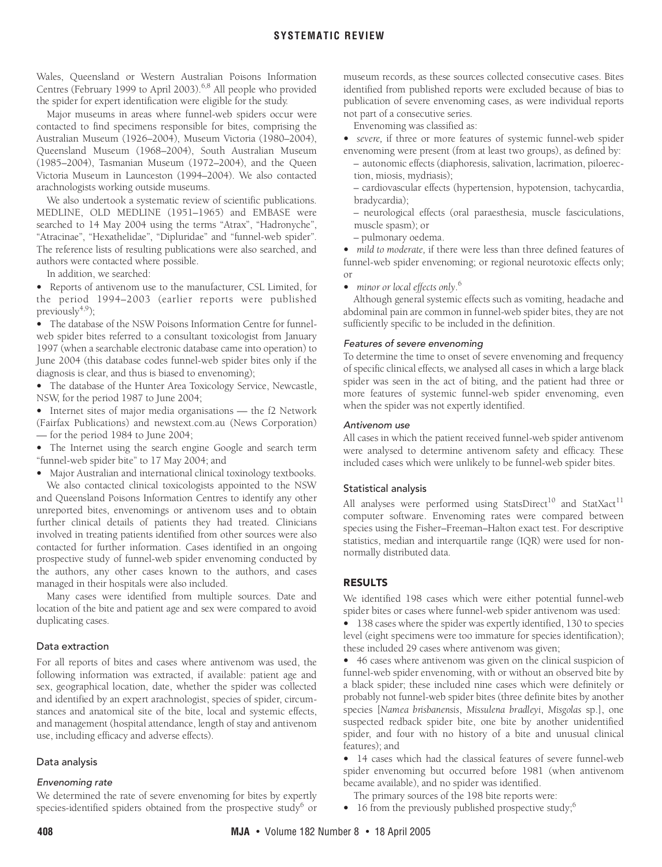# **SYSTEMATIC REVIEW**

Wales, Queensland or Western Australian Poisons Information Centres (February 1999 to April 2003).<sup>[6](#page-4-3),8</sup> All people who provided the spider for expert identification were eligible for the study.

Major museums in areas where funnel-web spiders occur were contacted to find specimens responsible for bites, comprising the Australian Museum (1926–2004), Museum Victoria (1980–2004), Queensland Museum (1968–2004), South Australian Museum (1985–2004), Tasmanian Museum (1972–2004), and the Queen Victoria Museum in Launceston (1994–2004). We also contacted arachnologists working outside museums.

We also undertook a systematic review of scientific publications. MEDLINE, OLD MEDLINE (1951–1965) and EMBASE were searched to 14 May 2004 using the terms "Atrax", "Hadronyche", "Atracinae", "Hexathelidae", "Dipluridae" and "funnel-web spider". The reference lists of resulting publications were also searched, and authors were contacted where possible.

In addition, we searched:

**•** Reports of antivenom use to the manufacturer, CSL Limited, for the period 1994–2003 (earlier reports were published previously $4,9$  $4,9$ ;

**•** The database of the NSW Poisons Information Centre for funnelweb spider bites referred to a consultant toxicologist from January 1997 (when a searchable electronic database came into operation) to June 2004 (this database codes funnel-web spider bites only if the diagnosis is clear, and thus is biased to envenoming);

**•** The database of the Hunter Area Toxicology Service, Newcastle, NSW, for the period 1987 to June 2004;

**•** Internet sites of major media organisations — the f2 Network (Fairfax Publications) and newstext.com.au (News Corporation) — for the period 1984 to June 2004;

**•** The Internet using the search engine Google and search term "funnel-web spider bite" to 17 May 2004; and

**•** Major Australian and international clinical toxinology textbooks. We also contacted clinical toxicologists appointed to the NSW and Queensland Poisons Information Centres to identify any other unreported bites, envenomings or antivenom uses and to obtain further clinical details of patients they had treated. Clinicians involved in treating patients identified from other sources were also contacted for further information. Cases identified in an ongoing prospective study of funnel-web spider envenoming conducted by the authors, any other cases known to the authors, and cases managed in their hospitals were also included.

Many cases were identified from multiple sources. Date and location of the bite and patient age and sex were compared to avoid duplicating cases.

#### Data extraction

For all reports of bites and cases where antivenom was used, the following information was extracted, if available: patient age and sex, geographical location, date, whether the spider was collected and identified by an expert arachnologist, species of spider, circumstances and anatomical site of the bite, local and systemic effects, and management (hospital attendance, length of stay and antivenom use, including efficacy and adverse effects).

### Data analysis

We determined the rate of severe envenoming for bites by expertly species-identified spiders obtained from the prospective study<sup>6</sup> or museum records, as these sources collected consecutive cases. Bites identified from published reports were excluded because of bias to publication of severe envenoming cases, as were individual reports not part of a consecutive series.

Envenoming was classified as:

**•** *severe,* if three or more features of systemic funnel-web spider envenoming were present (from at least two groups), as defined by:

- autonomic effects (diaphoresis, salivation, lacrimation, piloerection, miosis, mydriasis);
- cardiovascular effects (hypertension, hypotension, tachycardia, bradycardia);
- neurological effects (oral paraesthesia, muscle fasciculations, muscle spasm); or
- pulmonary oedema.

**•** *mild to moderate,* if there were less than three defined features of funnel-web spider envenoming; or regional neurotoxic effects only; or

**•** *minor or local effects only*. [6](#page-4-3)

Although general systemic effects such as vomiting, headache and abdominal pain are common in funnel-web spider bites, they are not sufficiently specific to be included in the definition.

Features of severe envenoming To determine the time to onset of severe envenoming and frequency of specific clinical effects, we analysed all cases in which a large black spider was seen in the act of biting, and the patient had three or more features of systemic funnel-web spider envenoming, even when the spider was not expertly identified.

#### Antivenom use

All cases in which the patient received funnel-web spider antivenom were analysed to determine antivenom safety and efficacy. These included cases which were unlikely to be funnel-web spider bites.

#### Statistical analysis

All analyses were performed using StatsDirect<sup>10</sup> and StatXact<sup>11</sup> computer software. Envenoming rates were compared between species using the Fisher–Freeman–Halton exact test. For descriptive statistics, median and interquartile range (IQR) were used for nonnormally distributed data.

### **RESULTS**

We identified 198 cases which were either potential funnel-web spider bites or cases where funnel-web spider antivenom was used:

**•** 138 cases where the spider was expertly identified, 130 to species level (eight specimens were too immature for species identification); these included 29 cases where antivenom was given;

**•** 46 cases where antivenom was given on the clinical suspicion of funnel-web spider envenoming, with or without an observed bite by a black spider; these included nine cases which were definitely or probably not funnel-web spider bites (three definite bites by another species [*Namea brisbanensis*, *Missulena bradleyi*, *Misgolas* sp.], one suspected redback spider bite, one bite by another unidentified spider, and four with no history of a bite and unusual clinical features); and

**•** 14 cases which had the classical features of severe funnel-web spider envenoming but occurred before 1981 (when antivenom became available), and no spider was identified.

The primary sources of the 198 bite reports were:

**•** 16 from the previously published prospective study;[6](#page-4-3)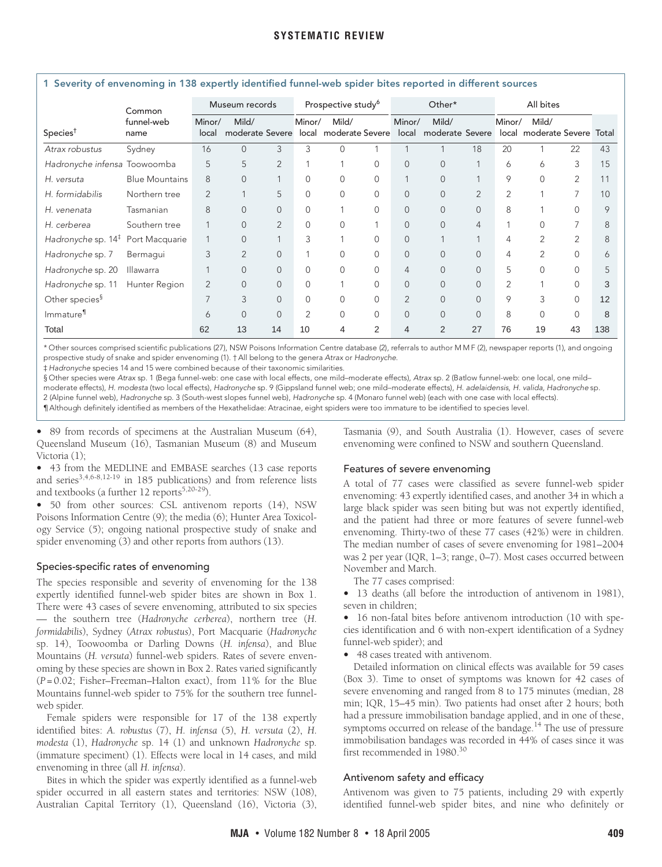<span id="page-2-0"></span>

| 1 Severity of envenoming in 138 expertly identified funnel-web spider bites reported in different sources |                       |                 |                                                |                |                                |          |                |                 |                          |                |                |                                |                |       |
|-----------------------------------------------------------------------------------------------------------|-----------------------|-----------------|------------------------------------------------|----------------|--------------------------------|----------|----------------|-----------------|--------------------------|----------------|----------------|--------------------------------|----------------|-------|
|                                                                                                           | Common                | Museum records  |                                                |                | Prospective study <sup>6</sup> |          |                | Other*          |                          |                | All bites      |                                |                |       |
| Species <sup>†</sup>                                                                                      | funnel-web<br>name    | Minor/<br>local | Mild/<br>moderate Severe local moderate Severe |                | Minor/                         | Mild/    |                | Minor/<br>local | Mild/<br>moderate Severe |                | Minor/         | Mild/<br>local moderate Severe |                | Total |
| Atrax robustus                                                                                            | Sydney                | 16              | $\Omega$                                       | 3              | 3                              | $\Omega$ |                |                 |                          | 18             | 20             |                                | 22             | 43    |
| Hadronyche infensa Toowoomba                                                                              |                       | 5               | 5                                              | 2              |                                |          | $\Omega$       | $\mathbf{0}$    | $\mathbf{0}$             | 1              | 6              | 6                              | 3              | 15    |
| H. versuta                                                                                                | <b>Blue Mountains</b> | 8               | $\Omega$                                       | 1              | $\mathbf{0}$                   | $\Omega$ | $\Omega$       |                 | $\Omega$                 | $\overline{1}$ | 9              | $\Omega$                       | $\overline{2}$ | 11    |
| H. formidabilis                                                                                           | Northern tree         | $\overline{2}$  |                                                | 5              | $\mathbf{0}$                   | $\Omega$ | $\Omega$       | $\Omega$        | $\mathbf{0}$             | $\overline{2}$ | $\overline{2}$ |                                |                | 10    |
| H. venenata                                                                                               | Tasmanian             | 8               | 0                                              | $\mathbf 0$    | 0                              |          | $\mathbf{0}$   | 0               | $\mathbf{0}$             | $\mathbf{0}$   | 8              |                                | $\Omega$       | 9     |
| H. cerberea                                                                                               | Southern tree         |                 | $\Omega$                                       | $\overline{2}$ | $\mathbf{0}$                   | $\Omega$ |                | $\Omega$        | $\mathbf{0}$             | $\overline{4}$ |                | $\Omega$                       |                | 8     |
| Hadronyche sp. $14‡$                                                                                      | Port Macquarie        |                 | $\overline{0}$                                 | 1              | 3                              |          | $\Omega$       | $\Omega$        |                          |                | 4              | $\overline{2}$                 | 2              | 8     |
| Hadronyche sp. 7                                                                                          | Bermaqui              | 3               | $\overline{2}$                                 | $\overline{0}$ |                                | $\Omega$ | $\Omega$       | $\Omega$        | $\mathbf{0}$             | $\overline{0}$ | 4              | $\overline{2}$                 | $\Omega$       | 6     |
| Hadronyche sp. 20                                                                                         | Illawarra             |                 | $\Omega$                                       | $\overline{0}$ | $\mathbf{0}$                   | $\Omega$ | $\Omega$       | 4               | $\mathbf{0}$             | $\overline{0}$ | 5              | $\Omega$                       | $\cap$         |       |
| Hadronyche sp. 11                                                                                         | Hunter Region         | $\overline{2}$  | $\Omega$                                       | $\overline{0}$ | $\mathbf{0}$                   |          | $\Omega$       | $\Omega$        | $\Omega$                 | $\Omega$       | $\overline{2}$ |                                | $\Omega$       | 3     |
| Other species <sup>§</sup>                                                                                |                       |                 | 3                                              | $\overline{0}$ | $\mathbf{0}$                   | $\Omega$ | $\Omega$       | $\overline{2}$  | $\overline{0}$           | $\Omega$       | 9              | 3                              | $\Omega$       | 12    |
| Immature <sup>11</sup>                                                                                    |                       | 6               | 0                                              | $\overline{0}$ | $\overline{2}$                 | $\Omega$ | $\Omega$       | $\Omega$        | $\mathbf{0}$             | $\mathbf{0}$   | 8              | $\Omega$                       | $\Omega$       | 8     |
| Total                                                                                                     |                       | 62              | 13                                             | 14             | 10                             | 4        | $\overline{2}$ | 4               | 2                        | 27             | 76             | 19                             | 43             | 138   |

\* Other sources comprised scientific publications (27), NSW Poisons Information Centre database (2), referrals to author M M F (2), newspaper reports (1), and ongoing prospective study of snake and spider envenoming (1). † All belong to the genera Atrax or Hadronyche.

‡ Hadronyche species 14 and 15 were combined because of their taxonomic similarities.

§ Other species were Atrax sp. 1 (Bega funnel-web: one case with local effects, one mild-moderate effects), Atrax sp. 2 (Batlow funnel-web: one local, one mildmoderate effects), H. modesta (two local effects), Hadronyche sp. 9 (Gippsland funnel web; one mild–moderate effects), H. adelaidensis, H. valida, Hadronyche sp. 2 (Alpine funnel web), Hadronyche sp. 3 (South-west slopes funnel web), Hadronyche sp. 4 (Monaro funnel web) (each with one case with local effects). ¶ Although definitely identified as members of the Hexathelidae: Atracinae, eight spiders were too immature to be identified to species level.

**•** 89 from records of specimens at the Australian Museum (64), Queensland Museum (16), Tasmanian Museum (8) and Museum Victoria (1);

**•** 43 from the MEDLINE and EMBASE searches (13 case reports and series<sup>[3](#page-4-2)[,4](#page-4-4)[,6-](#page-4-3)[8](#page-4-8),[12-](#page-4-12)[19](#page-4-13)</sup> in 185 publications) and from reference lists and textbooks (a further  $12$  reports<sup>5,[20](#page-4-14)-29</sup>).

**•** 50 from other sources: CSL antivenom reports (14), NSW Poisons Information Centre (9); the media (6); Hunter Area Toxicology Service (5); ongoing national prospective study of snake and spider envenoming (3) and other reports from authors (13).

# Species-specific rates of envenoming

The species responsible and severity of envenoming for the 138 expertly identified funnel-web spider bites are shown in [Box 1](#page-2-0). There were 43 cases of severe envenoming, attributed to six species — the southern tree (*Hadronyche cerberea*), northern tree (*H. formidabilis*), Sydney (*Atrax robustus*), Port Macquarie (*Hadronyche* sp. 14), Toowoomba or Darling Downs (*H. infensa*), and Blue Mountains (*H. versuta*) funnel-web spiders. Rates of severe envenoming by these species are shown in [Box 2.](#page-3-0) Rates varied significantly (*P* = 0.02; Fisher–Freeman–Halton exact), from 11% for the Blue Mountains funnel-web spider to 75% for the southern tree funnelweb spider.

Female spiders were responsible for 17 of the 138 expertly identified bites: *A. robustus* (7), *H. infensa* (5), *H. versuta* (2), *H. modesta* (1), *Hadronyche* sp. 14 (1) and unknown *Hadronyche* sp. (immature speciment) (1). Effects were local in 14 cases, and mild envenoming in three (all *H. infensa*).

Bites in which the spider was expertly identified as a funnel-web spider occurred in all eastern states and territories: NSW (108), Australian Capital Territory (1), Queensland (16), Victoria (3),

Tasmania (9), and South Australia (1). However, cases of severe envenoming were confined to NSW and southern Queensland.

# Features of severe envenoming

A total of 77 cases were classified as severe funnel-web spider envenoming: 43 expertly identified cases, and another 34 in which a large black spider was seen biting but was not expertly identified, and the patient had three or more features of severe funnel-web envenoming. Thirty-two of these 77 cases (42%) were in children. The median number of cases of severe envenoming for 1981–2004 was 2 per year (IQR, 1–3; range, 0–7). Most cases occurred between November and March.

The 77 cases comprised:

**•** 13 deaths (all before the introduction of antivenom in 1981), seven in children;

**•** 16 non-fatal bites before antivenom introduction (10 with species identification and 6 with non-expert identification of a Sydney funnel-web spider); and

**•** 48 cases treated with antivenom.

Detailed information on clinical effects was available for 59 cases ([Box 3\)](#page-3-1). Time to onset of symptoms was known for 42 cases of severe envenoming and ranged from 8 to 175 minutes (median, 28 min; IQR, 15–45 min). Two patients had onset after 2 hours; both had a pressure immobilisation bandage applied, and in one of these, symptoms occurred on release of the bandage.<sup>14</sup> The use of pressure immobilisation bandages was recorded in 44% of cases since it was first recommended in 1980.<sup>30</sup>

### Antivenom safety and efficacy

Antivenom was given to 75 patients, including 29 with expertly identified funnel-web spider bites, and nine who definitely or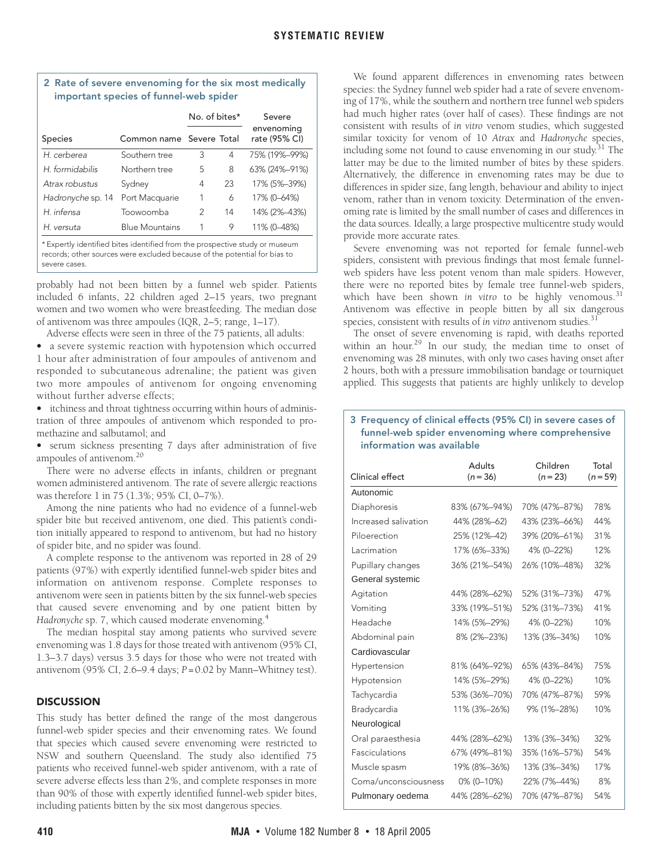# <span id="page-3-0"></span>**2 Rate of severe envenoming for the six most medically important species of funnel-web spider**

|                   |                          | No. of bites* |    | Severe                      |  |  |
|-------------------|--------------------------|---------------|----|-----------------------------|--|--|
| <b>Species</b>    | Common name Severe Total |               |    | envenoming<br>rate (95% CI) |  |  |
| H. cerberea       | Southern tree            | 3             | 4  | 75% (19%-99%)               |  |  |
| H formidabilis    | Northern tree            | 5             | 8  | 63% (24%-91%)               |  |  |
| Atrax robustus    | Sydney                   | 4             | 23 | 17% (5%-39%)                |  |  |
| Hadronyche sp. 14 | Port Macquarie           | 1             | 6  | 17% (0-64%)                 |  |  |
| H. infensa        | Toowoomba                | 2             | 14 | 14% (2%-43%)                |  |  |
| H. versuta        | <b>Blue Mountains</b>    | 1             | 9  | 11% (0-48%)                 |  |  |

\* Expertly identified bites identified from the prospective study or museum records; other sources were excluded because of the potential for bias to severe cases.

probably had not been bitten by a funnel web spider. Patients included 6 infants, 22 children aged 2–15 years, two pregnant women and two women who were breastfeeding. The median dose of antivenom was three ampoules (IQR, 2–5; range, 1–17).

Adverse effects were seen in three of the 75 patients, all adults:

**•** a severe systemic reaction with hypotension which occurred 1 hour after administration of four ampoules of antivenom and responded to subcutaneous adrenaline; the patient was given two more ampoules of antivenom for ongoing envenoming without further adverse effects;

**•** itchiness and throat tightness occurring within hours of administration of three ampoules of antivenom which responded to promethazine and salbutamol; and

**•** serum sickness presenting 7 days after administration of five ampoules of antivenom[.20](#page-4-14)

There were no adverse effects in infants, children or pregnant women administered antivenom. The rate of severe allergic reactions was therefore 1 in 75 (1.3%; 95% CI, 0–7%).

Among the nine patients who had no evidence of a funnel-web spider bite but received antivenom, one died. This patient's condition initially appeared to respond to antivenom, but had no history of spider bite, and no spider was found.

A complete response to the antivenom was reported in 28 of 29 patients (97%) with expertly identified funnel-web spider bites and information on antivenom response. Complete responses to antivenom were seen in patients bitten by the six funnel-web species that caused severe envenoming and by one patient bitten by Hadronyche sp. 7, which caused moderate envenoming.<sup>[4](#page-4-4)</sup>

The median hospital stay among patients who survived severe envenoming was 1.8 days for those treated with antivenom (95% CI, 1.3–3.7 days) versus 3.5 days for those who were not treated with antivenom (95% CI, 2.6–9.4 days; *P* =0.02 by Mann–Whitney test).

# **DISCUSSION**

This study has better defined the range of the most dangerous funnel-web spider species and their envenoming rates. We found that species which caused severe envenoming were restricted to NSW and southern Queensland. The study also identified 75 patients who received funnel-web spider antivenom, with a rate of severe adverse effects less than 2%, and complete responses in more than 90% of those with expertly identified funnel-web spider bites, including patients bitten by the six most dangerous species.

We found apparent differences in envenoming rates between species: the Sydney funnel web spider had a rate of severe envenoming of 17%, while the southern and northern tree funnel web spiders had much higher rates (over half of cases). These findings are not consistent with results of *in vitro* venom studies, which suggested similar toxicity for venom of 10 *Atrax* and *Hadronyche* species, including some not found to cause envenoming in our study.<sup>31</sup> The latter may be due to the limited number of bites by these spiders. Alternatively, the difference in envenoming rates may be due to differences in spider size, fang length, behaviour and ability to inject venom, rather than in venom toxicity. Determination of the envenoming rate is limited by the small number of cases and differences in the data sources. Ideally, a large prospective multicentre study would provide more accurate rates.

Severe envenoming was not reported for female funnel-web spiders, consistent with previous findings that most female funnelweb spiders have less potent venom than male spiders. However, there were no reported bites by female tree funnel-web spiders, which have been shown in vitro to be highly venomous.<sup>[31](#page-4-7)</sup> Antivenom was effective in people bitten by all six dangerous species, consistent with results of *in vitro* antivenom studies.<sup>31</sup>

The onset of severe envenoming is rapid, with deaths reported within an hour.<sup>29</sup> In our study, the median time to onset of envenoming was 28 minutes, with only two cases having onset after 2 hours, both with a pressure immobilisation bandage or tourniquet applied. This suggests that patients are highly unlikely to develop

# <span id="page-3-1"></span>**3 Frequency of clinical effects (95% CI) in severe cases of funnel-web spider envenoming where comprehensive information was available**

| Adults<br>$(n = 36)$ | Children<br>$(n = 23)$ | Total<br>$(n = 59)$ |  |
|----------------------|------------------------|---------------------|--|
|                      |                        |                     |  |
| 83% (67%-94%)        | 70% (47%-87%)          | 78%                 |  |
| 44% (28%-62)         | 43% (23%-66%)          | 44%                 |  |
| 25% (12%-42)         | 39% (20%-61%)          | 31%                 |  |
| 17% (6%-33%)         | 4% (0-22%)             | 12%                 |  |
| 36% (21%-54%)        | 26% (10%-48%)          | 32%                 |  |
|                      |                        |                     |  |
| 44% (28%-62%)        | 52% (31%-73%)          | 47%                 |  |
| 33% (19%-51%)        | 52% (31%-73%)          | 41%                 |  |
| 14% (5%-29%)         | 4% (0-22%)             | 10%                 |  |
| 8% (2%-23%)          | 13% (3%-34%)           | 10%                 |  |
|                      |                        |                     |  |
| 81% (64%-92%)        | 65% (43%-84%)          | 75%                 |  |
| 14% (5%-29%)         | 4% (0-22%)             | 10%                 |  |
| 53% (36%-70%)        | 70% (47%-87%)          | 59%                 |  |
| 11% (3%-26%)         | 9% (1%-28%)            | 10%                 |  |
|                      |                        |                     |  |
| 44% (28%-62%)        | 13% (3%-34%)           | 32%                 |  |
| 67% (49%-81%)        | 35% (16%-57%)          | 54%                 |  |
| 19% (8%-36%)         | 13% (3%-34%)           | 17%                 |  |
| 0% (0-10%)           | 22% (7%-44%)           | 8%                  |  |
| 44% (28%–62%)        | 70% (47%-87%)          | 54%                 |  |
|                      |                        |                     |  |